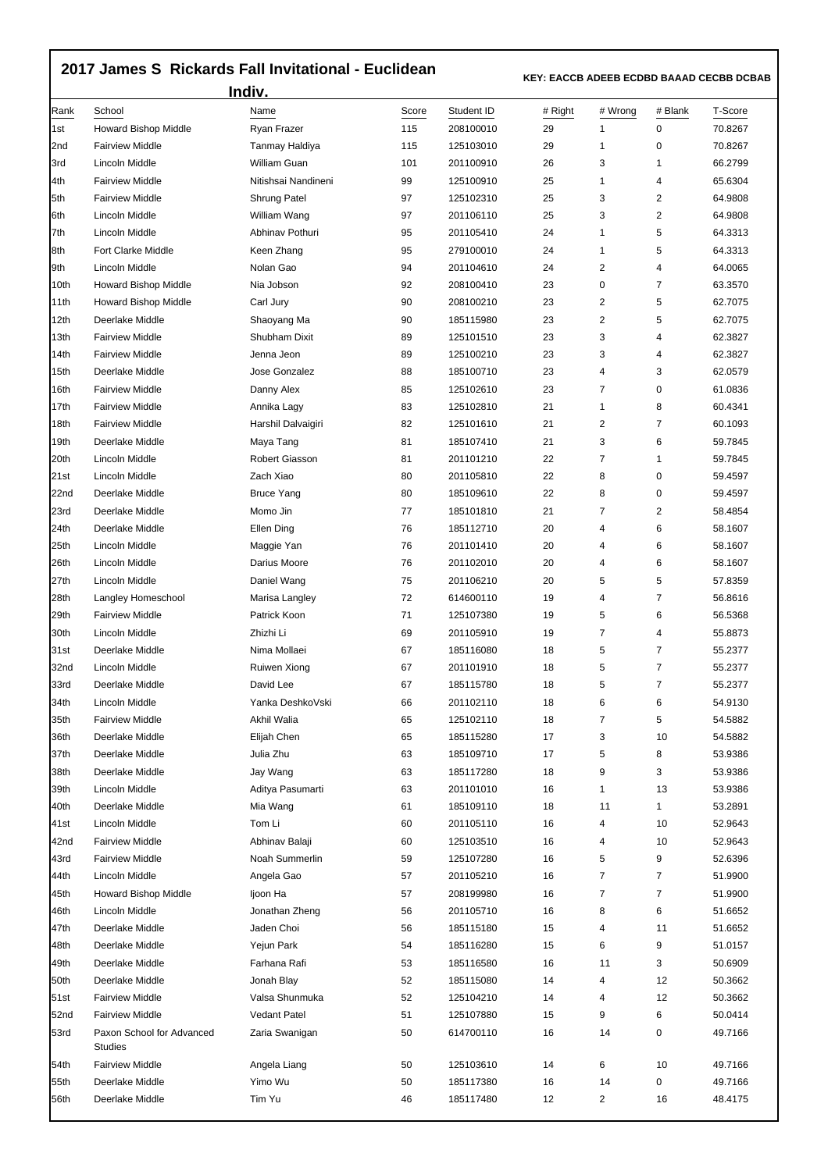## **2017 James S Rickards Fall Invitational - Euclidean**

 **KEY: EACCB ADEEB ECDBD BAAAD CECBB DCBAB** 

| Indiv.                |                                             |                      |              |                         |               |                |              |                    |  |  |  |
|-----------------------|---------------------------------------------|----------------------|--------------|-------------------------|---------------|----------------|--------------|--------------------|--|--|--|
| <b>I</b> Rank<br>l1st | School<br>Howard Bishop Middle              | Name<br>Ryan Frazer  | Score<br>115 | Student ID<br>208100010 | # Right<br>29 | # Wrong<br>1   | # Blank<br>0 | T-Score<br>70.8267 |  |  |  |
| 2nd                   | <b>Fairview Middle</b>                      | Tanmay Haldiya       | 115          | 125103010               | 29            | 1              | 0            | 70.8267            |  |  |  |
| 3rd                   | Lincoln Middle                              | William Guan         | 101          | 201100910               | 26            | 3              | 1            | 66.2799            |  |  |  |
| 4th                   | <b>Fairview Middle</b>                      | Nitishsai Nandineni  | 99           | 125100910               | 25            | 1              | 4            | 65.6304            |  |  |  |
| 5th                   | <b>Fairview Middle</b>                      | Shrung Patel         | 97           | 125102310               | 25            | 3              | 2            | 64.9808            |  |  |  |
| 6th                   | Lincoln Middle                              | William Wang         | 97           | 201106110               | 25            | 3              | 2            | 64.9808            |  |  |  |
| 7th                   | Lincoln Middle                              | Abhinav Pothuri      | 95           | 201105410               | 24            | 1              | 5            | 64.3313            |  |  |  |
| 8th                   | <b>Fort Clarke Middle</b>                   | Keen Zhang           | 95           | 279100010               | 24            | 1              | 5            | 64.3313            |  |  |  |
| 9th                   | Lincoln Middle                              | Nolan Gao            | 94           | 201104610               | 24            | 2              | 4            | 64.0065            |  |  |  |
| 10th                  | <b>Howard Bishop Middle</b>                 | Nia Jobson           | 92           | 208100410               | 23            | 0              | 7            | 63.3570            |  |  |  |
| 11th                  | Howard Bishop Middle                        | Carl Jury            | 90           | 208100210               | 23            | 2              | 5            | 62.7075            |  |  |  |
| 12th                  | Deerlake Middle                             | Shaoyang Ma          | 90           | 185115980               | 23            | 2              | 5            | 62.7075            |  |  |  |
| 13th                  | <b>Fairview Middle</b>                      | <b>Shubham Dixit</b> | 89           | 125101510               | 23            | 3              | 4            | 62.3827            |  |  |  |
| 14th                  | <b>Fairview Middle</b>                      | Jenna Jeon           | 89           | 125100210               | 23            | 3              | 4            | 62.3827            |  |  |  |
| 15th                  | Deerlake Middle                             | Jose Gonzalez        | 88           | 185100710               | 23            | 4              | 3            | 62.0579            |  |  |  |
| 16th                  | <b>Fairview Middle</b>                      | Danny Alex           | 85           | 125102610               | 23            | 7              | 0            | 61.0836            |  |  |  |
| 17th                  | <b>Fairview Middle</b>                      | Annika Lagy          | 83           | 125102810               | 21            | 1              | 8            | 60.4341            |  |  |  |
| 18th                  | <b>Fairview Middle</b>                      | Harshil Dalvaigiri   | 82           | 125101610               | 21            | 2              | 7            | 60.1093            |  |  |  |
| 19th                  | Deerlake Middle                             | Maya Tang            | 81           | 185107410               | 21            | 3              | 6            | 59.7845            |  |  |  |
| 20th                  | Lincoln Middle                              | Robert Giasson       | 81           | 201101210               | 22            | 7              | 1            | 59.7845            |  |  |  |
| 21st                  | Lincoln Middle                              | Zach Xiao            | 80           | 201105810               | 22            | 8              | 0            | 59.4597            |  |  |  |
|                       | Deerlake Middle                             |                      |              |                         | 22            | 8              | 0            |                    |  |  |  |
| 22nd                  |                                             | <b>Bruce Yang</b>    | 80           | 185109610               |               | 7              |              | 59.4597            |  |  |  |
| 23rd                  | Deerlake Middle                             | Momo Jin             | 77<br>76     | 185101810               | 21<br>20      | 4              | 2<br>6       | 58.4854<br>58.1607 |  |  |  |
| 24th                  | Deerlake Middle                             | Ellen Ding           |              | 185112710               |               |                |              |                    |  |  |  |
| 25th                  | Lincoln Middle                              | Maggie Yan           | 76           | 201101410               | 20            | 4              | 6            | 58.1607            |  |  |  |
| 26th                  | Lincoln Middle                              | Darius Moore         | 76           | 201102010               | 20            | 4              | 6            | 58.1607            |  |  |  |
| 27th                  | Lincoln Middle                              | Daniel Wang          | 75           | 201106210               | 20            | 5              | 5            | 57.8359            |  |  |  |
| 28th                  | Langley Homeschool                          | Marisa Langley       | 72           | 614600110               | 19            | 4              | 7            | 56.8616            |  |  |  |
| 29th                  | <b>Fairview Middle</b>                      | Patrick Koon         | 71           | 125107380               | 19            | 5              | 6            | 56.5368            |  |  |  |
| 30th                  | Lincoln Middle                              | Zhizhi Li            | 69           | 201105910               | 19            | 7              | 4            | 55.8873            |  |  |  |
| 31st                  | Deerlake Middle                             | Nima Mollaei         | 67           | 185116080               | 18            | 5              | 7            | 55.2377            |  |  |  |
| 32nd                  | Lincoln Middle                              | <b>Ruiwen Xiong</b>  | 67           | 201101910               | 18            | 5              | 7            | 55.2377            |  |  |  |
| 33rd                  | Deerlake Middle                             | David Lee            | 67           | 185115780               | 18            | 5              | 7            | 55.2377            |  |  |  |
| 34th                  | Lincoln Middle                              | Yanka DeshkoVski     | 66           | 201102110               | 18            | 6              | 6            | 54.9130            |  |  |  |
| 35th                  | <b>Fairview Middle</b>                      | Akhil Walia          | 65           | 125102110               | 18            | 7              | 5            | 54.5882            |  |  |  |
| 36th                  | Deerlake Middle                             | Elijah Chen          | 65           | 185115280               | 17            | 3              | 10           | 54.5882            |  |  |  |
| 37th                  | Deerlake Middle                             | Julia Zhu            | 63           | 185109710               | 17            | 5              | 8            | 53.9386            |  |  |  |
| 38th                  | Deerlake Middle                             | Jay Wang             | 63           | 185117280               | 18            | 9              | 3            | 53.9386            |  |  |  |
| 39th                  | Lincoln Middle                              | Aditya Pasumarti     | 63           | 201101010               | 16            | 1              | 13           | 53.9386            |  |  |  |
| 40th                  | Deerlake Middle                             | Mia Wang             | 61           | 185109110               | 18            | 11             | $\mathbf{1}$ | 53.2891            |  |  |  |
| 41st                  | Lincoln Middle                              | Tom Li               | 60           | 201105110               | 16            | 4              | 10           | 52.9643            |  |  |  |
| 42nd                  | <b>Fairview Middle</b>                      | Abhinav Balaji       | 60           | 125103510               | 16            | 4              | 10           | 52.9643            |  |  |  |
| 43rd                  | <b>Fairview Middle</b>                      | Noah Summerlin       | 59           | 125107280               | 16            | 5              | 9            | 52.6396            |  |  |  |
| 44th                  | Lincoln Middle                              | Angela Gao           | 57           | 201105210               | 16            | 7              | 7            | 51.9900            |  |  |  |
| 45th                  | Howard Bishop Middle                        | Ijoon Ha             | 57           | 208199980               | 16            | $\overline{7}$ | 7            | 51.9900            |  |  |  |
| 46th                  | Lincoln Middle                              | Jonathan Zheng       | 56           | 201105710               | 16            | 8              | 6            | 51.6652            |  |  |  |
| 47th                  | Deerlake Middle                             | Jaden Choi           | 56           | 185115180               | 15            | 4              | 11           | 51.6652            |  |  |  |
| 48th                  | Deerlake Middle                             | Yejun Park           | 54           | 185116280               | 15            | 6              | 9            | 51.0157            |  |  |  |
| 49th                  | Deerlake Middle                             | Farhana Rafi         | 53           | 185116580               | 16            | 11             | 3            | 50.6909            |  |  |  |
| 50th                  | Deerlake Middle                             | Jonah Blay           | 52           | 185115080               | 14            | 4              | 12           | 50.3662            |  |  |  |
| 51st                  | <b>Fairview Middle</b>                      | Valsa Shunmuka       | 52           | 125104210               | 14            | 4              | 12           | 50.3662            |  |  |  |
| 52nd                  | <b>Fairview Middle</b>                      | <b>Vedant Patel</b>  | 51           | 125107880               | 15            | 9              | 6            | 50.0414            |  |  |  |
| 53rd                  | Paxon School for Advanced<br><b>Studies</b> | Zaria Swanigan       | 50           | 614700110               | 16            | 14             | 0            | 49.7166            |  |  |  |
| 54th                  | <b>Fairview Middle</b>                      | Angela Liang         | 50           | 125103610               | 14            | 6              | 10           | 49.7166            |  |  |  |
| 55th                  | Deerlake Middle                             | Yimo Wu              | 50           | 185117380               | 16            | 14             | 0            | 49.7166            |  |  |  |
| 56th                  | Deerlake Middle                             | Tim Yu               | 46           | 185117480               | 12            | 2              | 16           | 48.4175            |  |  |  |
|                       |                                             |                      |              |                         |               |                |              |                    |  |  |  |